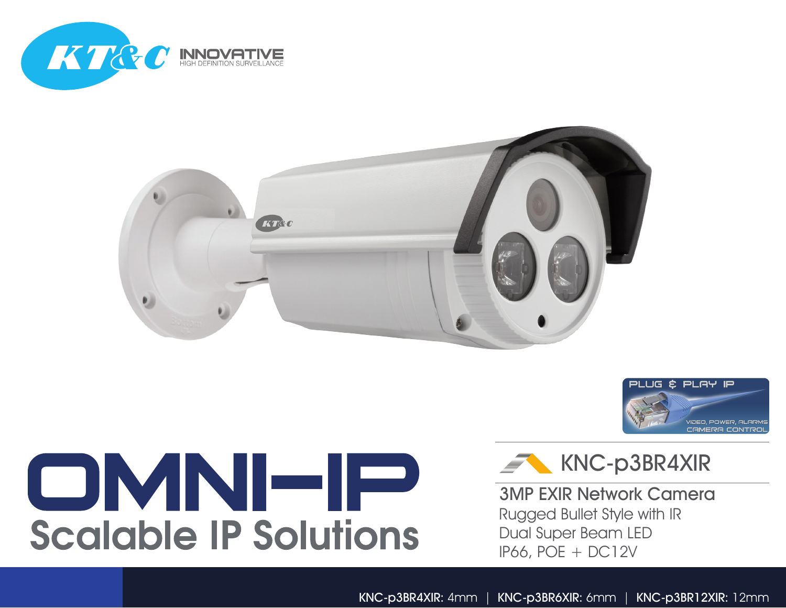





## OMNHP **Scalable IP Solutions**



3MP EXIR Network Camera Rugged Bullet Style with IR Dual Super Beam LED IP66, POE + DC12V

KNC-p3BR4XIR: 4mm | KNC-p3BR6XIR: 6mm | KNC-p3BR12XIR: 12mm